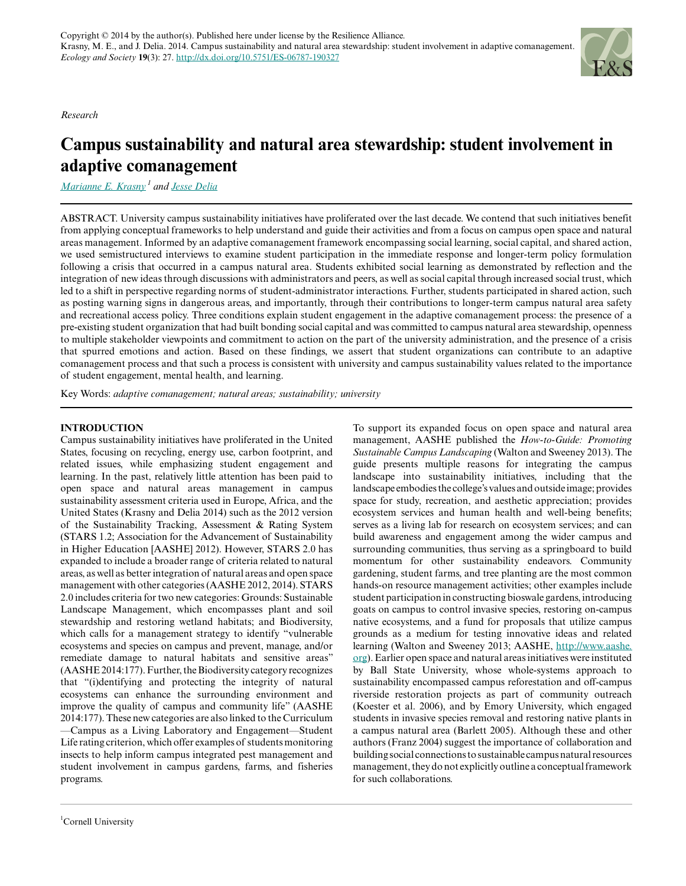

# **Campus sustainability and natural area stewardship: student involvement in adaptive comanagement**

*[Marianne E. Krasny](mailto:mek2@cornell.edu)<sup>1</sup> and [Jesse Delia](mailto:jessedelia@gmail.com)*

ABSTRACT. University campus sustainability initiatives have proliferated over the last decade. We contend that such initiatives benefit from applying conceptual frameworks to help understand and guide their activities and from a focus on campus open space and natural areas management. Informed by an adaptive comanagement framework encompassing social learning, social capital, and shared action, we used semistructured interviews to examine student participation in the immediate response and longer-term policy formulation following a crisis that occurred in a campus natural area. Students exhibited social learning as demonstrated by reflection and the integration of new ideas through discussions with administrators and peers, as well as social capital through increased social trust, which led to a shift in perspective regarding norms of student-administrator interactions. Further, students participated in shared action, such as posting warning signs in dangerous areas, and importantly, through their contributions to longer-term campus natural area safety and recreational access policy. Three conditions explain student engagement in the adaptive comanagement process: the presence of a pre-existing student organization that had built bonding social capital and was committed to campus natural area stewardship, openness to multiple stakeholder viewpoints and commitment to action on the part of the university administration, and the presence of a crisis that spurred emotions and action. Based on these findings, we assert that student organizations can contribute to an adaptive comanagement process and that such a process is consistent with university and campus sustainability values related to the importance of student engagement, mental health, and learning.

Key Words: *adaptive comanagement; natural areas; sustainability; university*

# **INTRODUCTION**

Campus sustainability initiatives have proliferated in the United States, focusing on recycling, energy use, carbon footprint, and related issues, while emphasizing student engagement and learning. In the past, relatively little attention has been paid to open space and natural areas management in campus sustainability assessment criteria used in Europe, Africa, and the United States (Krasny and Delia 2014) such as the 2012 version of the Sustainability Tracking, Assessment & Rating System (STARS 1.2; Association for the Advancement of Sustainability in Higher Education [AASHE] 2012). However, STARS 2.0 has expanded to include a broader range of criteria related to natural areas, as well as better integration of natural areas and open space management with other categories (AASHE 2012, 2014). STARS 2.0 includes criteria for two new categories: Grounds: Sustainable Landscape Management, which encompasses plant and soil stewardship and restoring wetland habitats; and Biodiversity, which calls for a management strategy to identify "vulnerable ecosystems and species on campus and prevent, manage, and/or remediate damage to natural habitats and sensitive areas" (AASHE 2014:177). Further, the Biodiversity category recognizes that "(i)dentifying and protecting the integrity of natural ecosystems can enhance the surrounding environment and improve the quality of campus and community life" (AASHE 2014:177). These new categories are also linked to the Curriculum —Campus as a Living Laboratory and Engagement—Student Life rating criterion, which offer examples of students monitoring insects to help inform campus integrated pest management and student involvement in campus gardens, farms, and fisheries programs.

To support its expanded focus on open space and natural area management, AASHE published the *How-to-Guide: Promoting Sustainable Campus Landscaping* (Walton and Sweeney 2013). The guide presents multiple reasons for integrating the campus landscape into sustainability initiatives, including that the landscape embodies the college's values and outside image; provides space for study, recreation, and aesthetic appreciation; provides ecosystem services and human health and well-being benefits; serves as a living lab for research on ecosystem services; and can build awareness and engagement among the wider campus and surrounding communities, thus serving as a springboard to build momentum for other sustainability endeavors. Community gardening, student farms, and tree planting are the most common hands-on resource management activities; other examples include student participation in constructing bioswale gardens, introducing goats on campus to control invasive species, restoring on-campus native ecosystems, and a fund for proposals that utilize campus grounds as a medium for testing innovative ideas and related learning (Walton and Sweeney 2013; AASHE, [http://www.aashe.](http://www.aashe.org) [org\)](http://www.aashe.org). Earlier open space and natural areas initiatives were instituted by Ball State University, whose whole-systems approach to sustainability encompassed campus reforestation and off-campus riverside restoration projects as part of community outreach (Koester et al. 2006), and by Emory University, which engaged students in invasive species removal and restoring native plants in a campus natural area (Barlett 2005). Although these and other authors (Franz 2004) suggest the importance of collaboration and building social connections to sustainable campus natural resources management, they do not explicitly outline a conceptual framework for such collaborations.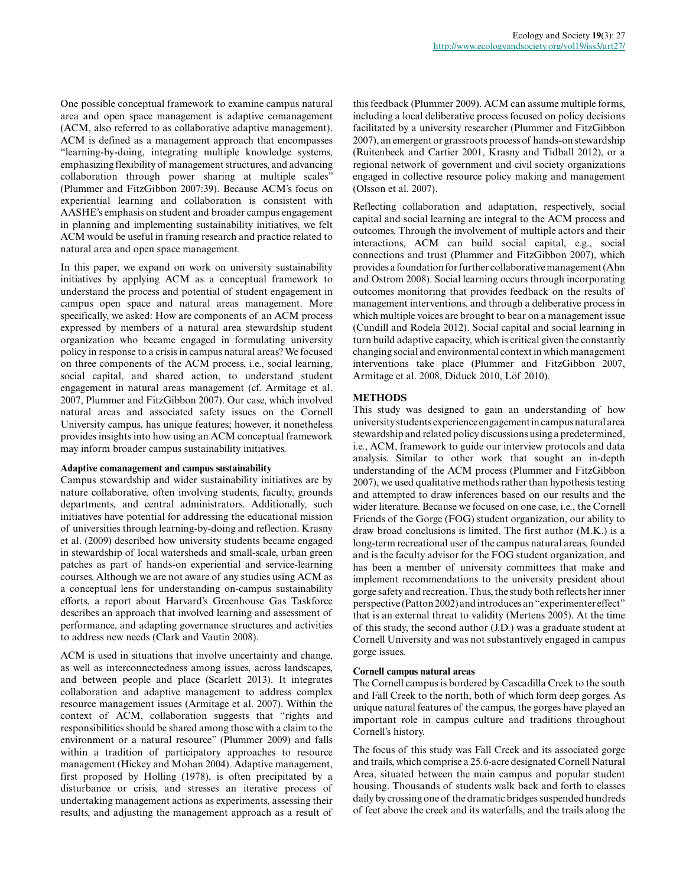One possible conceptual framework to examine campus natural area and open space management is adaptive comanagement (ACM, also referred to as collaborative adaptive management). ACM is defined as a management approach that encompasses "learning-by-doing, integrating multiple knowledge systems, emphasizing flexibility of management structures, and advancing collaboration through power sharing at multiple scales" (Plummer and FitzGibbon 2007:39). Because ACM's focus on experiential learning and collaboration is consistent with AASHE's emphasis on student and broader campus engagement in planning and implementing sustainability initiatives, we felt ACM would be useful in framing research and practice related to natural area and open space management.

In this paper, we expand on work on university sustainability initiatives by applying ACM as a conceptual framework to understand the process and potential of student engagement in campus open space and natural areas management. More specifically, we asked: How are components of an ACM process expressed by members of a natural area stewardship student organization who became engaged in formulating university policy in response to a crisis in campus natural areas? We focused on three components of the ACM process, i.e., social learning, social capital, and shared action, to understand student engagement in natural areas management (cf. Armitage et al. 2007, Plummer and FitzGibbon 2007). Our case, which involved natural areas and associated safety issues on the Cornell University campus, has unique features; however, it nonetheless provides insights into how using an ACM conceptual framework may inform broader campus sustainability initiatives.

## **Adaptive comanagement and campus sustainability**

Campus stewardship and wider sustainability initiatives are by nature collaborative, often involving students, faculty, grounds departments, and central administrators. Additionally, such initiatives have potential for addressing the educational mission of universities through learning-by-doing and reflection. Krasny et al. (2009) described how university students became engaged in stewardship of local watersheds and small-scale, urban green patches as part of hands-on experiential and service-learning courses. Although we are not aware of any studies using ACM as a conceptual lens for understanding on-campus sustainability efforts, a report about Harvard's Greenhouse Gas Taskforce describes an approach that involved learning and assessment of performance, and adapting governance structures and activities to address new needs (Clark and Vautin 2008).

ACM is used in situations that involve uncertainty and change, as well as interconnectedness among issues, across landscapes, and between people and place (Scarlett 2013). It integrates collaboration and adaptive management to address complex resource management issues (Armitage et al. 2007). Within the context of ACM, collaboration suggests that "rights and responsibilities should be shared among those with a claim to the environment or a natural resource" (Plummer 2009) and falls within a tradition of participatory approaches to resource management (Hickey and Mohan 2004). Adaptive management, first proposed by Holling (1978), is often precipitated by a disturbance or crisis, and stresses an iterative process of undertaking management actions as experiments, assessing their results, and adjusting the management approach as a result of

this feedback (Plummer 2009). ACM can assume multiple forms, including a local deliberative process focused on policy decisions facilitated by a university researcher (Plummer and FitzGibbon 2007), an emergent or grassroots process of hands-on stewardship (Ruitenbeek and Cartier 2001, Krasny and Tidball 2012), or a regional network of government and civil society organizations engaged in collective resource policy making and management (Olsson et al. 2007).

Reflecting collaboration and adaptation, respectively, social capital and social learning are integral to the ACM process and outcomes. Through the involvement of multiple actors and their interactions, ACM can build social capital, e.g., social connections and trust (Plummer and FitzGibbon 2007), which provides a foundation for further collaborative management (Ahn and Ostrom 2008). Social learning occurs through incorporating outcomes monitoring that provides feedback on the results of management interventions, and through a deliberative process in which multiple voices are brought to bear on a management issue (Cundill and Rodela 2012). Social capital and social learning in turn build adaptive capacity, which is critical given the constantly changing social and environmental context in which management interventions take place (Plummer and FitzGibbon 2007, Armitage et al. 2008, Diduck 2010, Löf 2010).

# **METHODS**

This study was designed to gain an understanding of how university students experience engagement in campus natural area stewardship and related policy discussions using a predetermined, i.e., ACM, framework to guide our interview protocols and data analysis. Similar to other work that sought an in-depth understanding of the ACM process (Plummer and FitzGibbon 2007), we used qualitative methods rather than hypothesis testing and attempted to draw inferences based on our results and the wider literature. Because we focused on one case, i.e., the Cornell Friends of the Gorge (FOG) student organization, our ability to draw broad conclusions is limited. The first author (M.K.) is a long-term recreational user of the campus natural areas, founded and is the faculty advisor for the FOG student organization, and has been a member of university committees that make and implement recommendations to the university president about gorge safety and recreation. Thus, the study both reflects her inner perspective (Patton 2002) and introduces an "experimenter effect" that is an external threat to validity (Mertens 2005). At the time of this study, the second author (J.D.) was a graduate student at Cornell University and was not substantively engaged in campus gorge issues.

#### **Cornell campus natural areas**

The Cornell campus is bordered by Cascadilla Creek to the south and Fall Creek to the north, both of which form deep gorges. As unique natural features of the campus, the gorges have played an important role in campus culture and traditions throughout Cornell's history.

The focus of this study was Fall Creek and its associated gorge and trails, which comprise a 25.6-acre designated Cornell Natural Area, situated between the main campus and popular student housing. Thousands of students walk back and forth to classes daily by crossing one of the dramatic bridges suspended hundreds of feet above the creek and its waterfalls, and the trails along the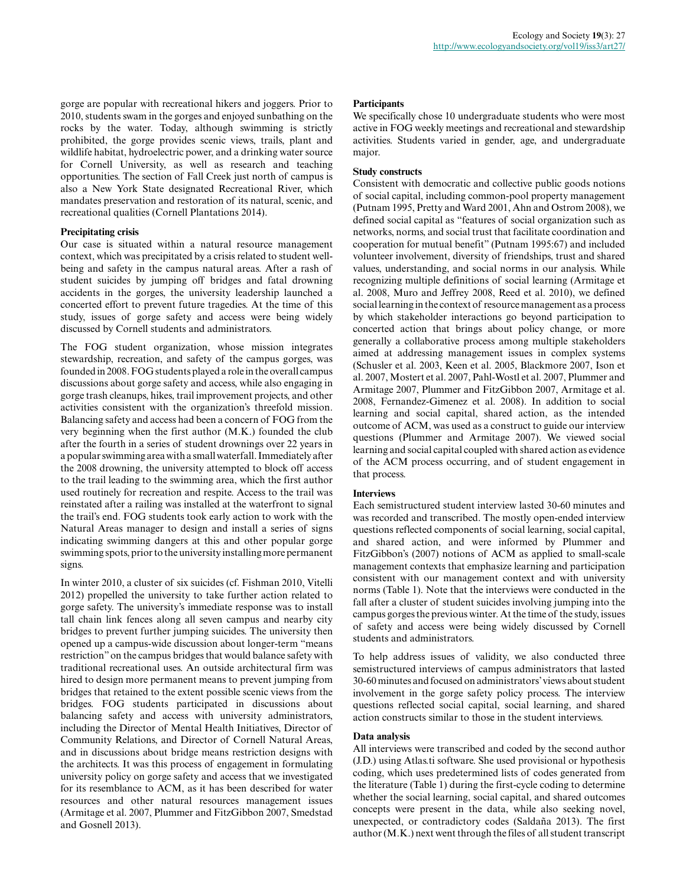gorge are popular with recreational hikers and joggers. Prior to 2010, students swam in the gorges and enjoyed sunbathing on the rocks by the water. Today, although swimming is strictly prohibited, the gorge provides scenic views, trails, plant and wildlife habitat, hydroelectric power, and a drinking water source for Cornell University, as well as research and teaching opportunities. The section of Fall Creek just north of campus is also a New York State designated Recreational River, which mandates preservation and restoration of its natural, scenic, and recreational qualities (Cornell Plantations 2014).

# **Precipitating crisis**

Our case is situated within a natural resource management context, which was precipitated by a crisis related to student wellbeing and safety in the campus natural areas. After a rash of student suicides by jumping off bridges and fatal drowning accidents in the gorges, the university leadership launched a concerted effort to prevent future tragedies. At the time of this study, issues of gorge safety and access were being widely discussed by Cornell students and administrators.

The FOG student organization, whose mission integrates stewardship, recreation, and safety of the campus gorges, was founded in 2008. FOG students played a role in the overall campus discussions about gorge safety and access, while also engaging in gorge trash cleanups, hikes, trail improvement projects, and other activities consistent with the organization's threefold mission. Balancing safety and access had been a concern of FOG from the very beginning when the first author (M.K.) founded the club after the fourth in a series of student drownings over 22 years in a popular swimming area with a small waterfall. Immediately after the 2008 drowning, the university attempted to block off access to the trail leading to the swimming area, which the first author used routinely for recreation and respite. Access to the trail was reinstated after a railing was installed at the waterfront to signal the trail's end. FOG students took early action to work with the Natural Areas manager to design and install a series of signs indicating swimming dangers at this and other popular gorge swimming spots, prior to the university installing more permanent signs.

In winter 2010, a cluster of six suicides (cf. Fishman 2010, Vitelli 2012) propelled the university to take further action related to gorge safety. The university's immediate response was to install tall chain link fences along all seven campus and nearby city bridges to prevent further jumping suicides. The university then opened up a campus-wide discussion about longer-term "means restriction" on the campus bridges that would balance safety with traditional recreational uses. An outside architectural firm was hired to design more permanent means to prevent jumping from bridges that retained to the extent possible scenic views from the bridges. FOG students participated in discussions about balancing safety and access with university administrators, including the Director of Mental Health Initiatives, Director of Community Relations, and Director of Cornell Natural Areas, and in discussions about bridge means restriction designs with the architects. It was this process of engagement in formulating university policy on gorge safety and access that we investigated for its resemblance to ACM, as it has been described for water resources and other natural resources management issues (Armitage et al. 2007, Plummer and FitzGibbon 2007, Smedstad and Gosnell 2013).

#### **Participants**

We specifically chose 10 undergraduate students who were most active in FOG weekly meetings and recreational and stewardship activities. Students varied in gender, age, and undergraduate major.

# **Study constructs**

Consistent with democratic and collective public goods notions of social capital, including common-pool property management (Putnam 1995, Pretty and Ward 2001, Ahn and Ostrom 2008), we defined social capital as "features of social organization such as networks, norms, and social trust that facilitate coordination and cooperation for mutual benefit" (Putnam 1995:67) and included volunteer involvement, diversity of friendships, trust and shared values, understanding, and social norms in our analysis. While recognizing multiple definitions of social learning (Armitage et al. 2008, Muro and Jeffrey 2008, Reed et al. 2010), we defined social learning in the context of resource management as a process by which stakeholder interactions go beyond participation to concerted action that brings about policy change, or more generally a collaborative process among multiple stakeholders aimed at addressing management issues in complex systems (Schusler et al. 2003, Keen et al. 2005, Blackmore 2007, Ison et al. 2007, Mostert et al. 2007, Pahl-Wostl et al. 2007, Plummer and Armitage 2007, Plummer and FitzGibbon 2007, Armitage et al. 2008, Fernandez-Gimenez et al. 2008). In addition to social learning and social capital, shared action, as the intended outcome of ACM, was used as a construct to guide our interview questions (Plummer and Armitage 2007). We viewed social learning and social capital coupled with shared action as evidence of the ACM process occurring, and of student engagement in that process.

## **Interviews**

Each semistructured student interview lasted 30-60 minutes and was recorded and transcribed. The mostly open-ended interview questions reflected components of social learning, social capital, and shared action, and were informed by Plummer and FitzGibbon's (2007) notions of ACM as applied to small-scale management contexts that emphasize learning and participation consistent with our management context and with university norms (Table 1). Note that the interviews were conducted in the fall after a cluster of student suicides involving jumping into the campus gorges the previous winter. At the time of the study, issues of safety and access were being widely discussed by Cornell students and administrators.

To help address issues of validity, we also conducted three semistructured interviews of campus administrators that lasted 30-60 minutes and focused on administrators' views about student involvement in the gorge safety policy process. The interview questions reflected social capital, social learning, and shared action constructs similar to those in the student interviews.

#### **Data analysis**

All interviews were transcribed and coded by the second author (J.D.) using Atlas.ti software. She used provisional or hypothesis coding, which uses predetermined lists of codes generated from the literature (Table 1) during the first-cycle coding to determine whether the social learning, social capital, and shared outcomes concepts were present in the data, while also seeking novel, unexpected, or contradictory codes (Saldaña 2013). The first author (M.K.) next went through the files of all student transcript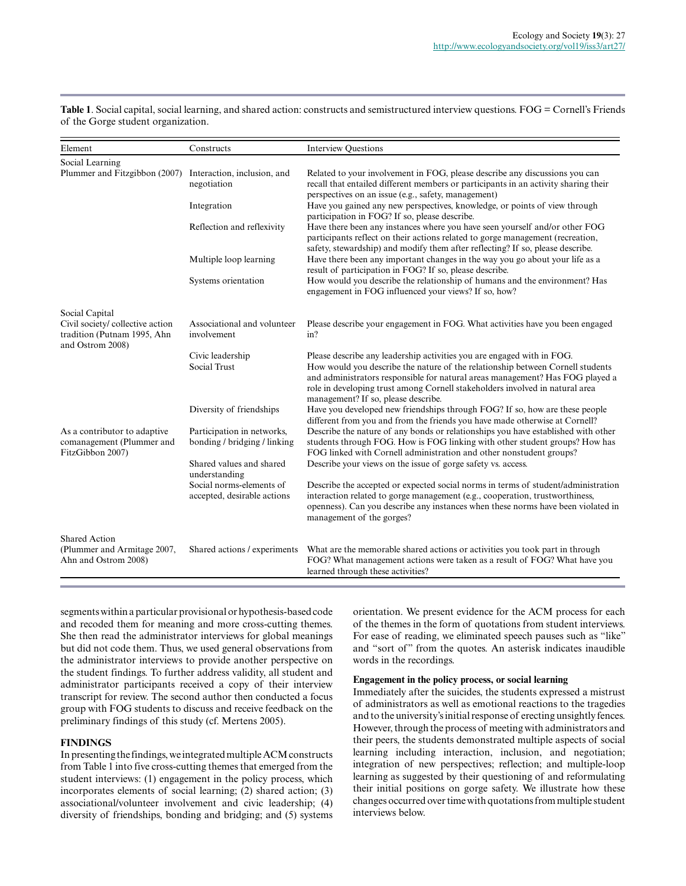**Table 1**. Social capital, social learning, and shared action: constructs and semistructured interview questions. FOG = Cornell's Friends of the Gorge student organization.

| Element                                                                             | Constructs                                                 | <b>Interview Questions</b>                                                                                                                                                                                                                                                             |
|-------------------------------------------------------------------------------------|------------------------------------------------------------|----------------------------------------------------------------------------------------------------------------------------------------------------------------------------------------------------------------------------------------------------------------------------------------|
| Social Learning                                                                     |                                                            |                                                                                                                                                                                                                                                                                        |
| Plummer and Fitzgibbon (2007)                                                       | Interaction, inclusion, and<br>negotiation                 | Related to your involvement in FOG, please describe any discussions you can<br>recall that entailed different members or participants in an activity sharing their<br>perspectives on an issue (e.g., safety, management)                                                              |
|                                                                                     | Integration                                                | Have you gained any new perspectives, knowledge, or points of view through<br>participation in FOG? If so, please describe.                                                                                                                                                            |
|                                                                                     | Reflection and reflexivity                                 | Have there been any instances where you have seen yourself and/or other FOG<br>participants reflect on their actions related to gorge management (recreation,<br>safety, stewardship) and modify them after reflecting? If so, please describe.                                        |
|                                                                                     | Multiple loop learning                                     | Have there been any important changes in the way you go about your life as a<br>result of participation in FOG? If so, please describe.                                                                                                                                                |
|                                                                                     | Systems orientation                                        | How would you describe the relationship of humans and the environment? Has<br>engagement in FOG influenced your views? If so, how?                                                                                                                                                     |
| Social Capital                                                                      |                                                            |                                                                                                                                                                                                                                                                                        |
| Civil society/ collective action<br>tradition (Putnam 1995, Ahn<br>and Ostrom 2008) | Associational and volunteer<br>involvement                 | Please describe your engagement in FOG. What activities have you been engaged<br>in?                                                                                                                                                                                                   |
|                                                                                     | Civic leadership                                           | Please describe any leadership activities you are engaged with in FOG.                                                                                                                                                                                                                 |
|                                                                                     | Social Trust                                               | How would you describe the nature of the relationship between Cornell students<br>and administrators responsible for natural areas management? Has FOG played a<br>role in developing trust among Cornell stakeholders involved in natural area<br>management? If so, please describe. |
|                                                                                     | Diversity of friendships                                   | Have you developed new friendships through FOG? If so, how are these people<br>different from you and from the friends you have made otherwise at Cornell?                                                                                                                             |
| As a contributor to adaptive<br>comanagement (Plummer and<br>FitzGibbon 2007)       | Participation in networks,<br>bonding / bridging / linking | Describe the nature of any bonds or relationships you have established with other<br>students through FOG. How is FOG linking with other student groups? How has<br>FOG linked with Cornell administration and other nonstudent groups?                                                |
|                                                                                     | Shared values and shared<br>understanding                  | Describe your views on the issue of gorge safety vs. access.                                                                                                                                                                                                                           |
|                                                                                     | Social norms-elements of<br>accepted, desirable actions    | Describe the accepted or expected social norms in terms of student/administration<br>interaction related to gorge management (e.g., cooperation, trustworthiness,<br>openness). Can you describe any instances when these norms have been violated in<br>management of the gorges?     |
| <b>Shared Action</b><br>(Plummer and Armitage 2007,<br>Ahn and Ostrom 2008)         | Shared actions / experiments                               | What are the memorable shared actions or activities you took part in through<br>FOG? What management actions were taken as a result of FOG? What have you<br>learned through these activities?                                                                                         |

segments within a particular provisional or hypothesis-based code and recoded them for meaning and more cross-cutting themes. She then read the administrator interviews for global meanings but did not code them. Thus, we used general observations from the administrator interviews to provide another perspective on the student findings. To further address validity, all student and administrator participants received a copy of their interview transcript for review. The second author then conducted a focus group with FOG students to discuss and receive feedback on the preliminary findings of this study (cf. Mertens 2005).

# **FINDINGS**

In presenting the findings, we integrated multiple ACM constructs from Table 1 into five cross-cutting themes that emerged from the student interviews: (1) engagement in the policy process, which incorporates elements of social learning; (2) shared action; (3) associational/volunteer involvement and civic leadership; (4) diversity of friendships, bonding and bridging; and (5) systems orientation. We present evidence for the ACM process for each of the themes in the form of quotations from student interviews. For ease of reading, we eliminated speech pauses such as "like" and "sort of" from the quotes. An asterisk indicates inaudible words in the recordings.

# **Engagement in the policy process, or social learning**

Immediately after the suicides, the students expressed a mistrust of administrators as well as emotional reactions to the tragedies and to the university's initial response of erecting unsightly fences. However, through the process of meeting with administrators and their peers, the students demonstrated multiple aspects of social learning including interaction, inclusion, and negotiation; integration of new perspectives; reflection; and multiple-loop learning as suggested by their questioning of and reformulating their initial positions on gorge safety. We illustrate how these changes occurred over time with quotations from multiple student interviews below.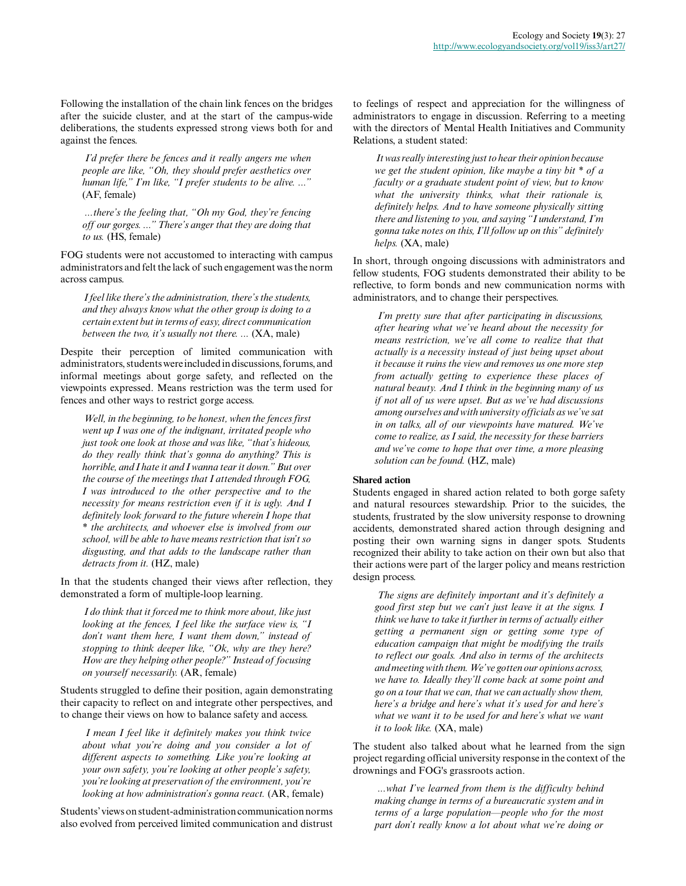Following the installation of the chain link fences on the bridges after the suicide cluster, and at the start of the campus-wide deliberations, the students expressed strong views both for and against the fences.

*I'd prefer there be fences and it really angers me when people are like, "Oh, they should prefer aesthetics over human life," I'm like, "I prefer students to be alive. ..."* (AF, female)

*...there's the feeling that, "Oh my God, they're fencing off our gorges. ..." There's anger that they are doing that to us.* (HS, female)

FOG students were not accustomed to interacting with campus administrators and felt the lack of such engagement was the norm across campus.

*I feel like there's the administration, there's the students, and they always know what the other group is doing to a certain extent but in terms of easy, direct communication between the two, it's usually not there. ...* (XA, male)

Despite their perception of limited communication with administrators, students were included in discussions, forums, and informal meetings about gorge safety, and reflected on the viewpoints expressed. Means restriction was the term used for fences and other ways to restrict gorge access.

*Well, in the beginning, to be honest, when the fences first went up I was one of the indignant, irritated people who just took one look at those and was like, "that's hideous, do they really think that's gonna do anything? This is horrible, and I hate it and I wanna tear it down." But over the course of the meetings that I attended through FOG, I was introduced to the other perspective and to the necessity for means restriction even if it is ugly. And I definitely look forward to the future wherein I hope that \* the architects, and whoever else is involved from our school, will be able to have means restriction that isn't so disgusting, and that adds to the landscape rather than detracts from it.* (HZ, male)

In that the students changed their views after reflection, they demonstrated a form of multiple-loop learning.

*I do think that it forced me to think more about, like just looking at the fences, I feel like the surface view is, "I don't want them here, I want them down," instead of stopping to think deeper like, "Ok, why are they here? How are they helping other people?" Instead of focusing on yourself necessarily.* (AR, female)

Students struggled to define their position, again demonstrating their capacity to reflect on and integrate other perspectives, and to change their views on how to balance safety and access.

*I mean I feel like it definitely makes you think twice about what you're doing and you consider a lot of different aspects to something. Like you're looking at your own safety, you're looking at other people's safety, you're looking at preservation of the environment, you're looking at how administration's gonna react.* (AR, female)

Students' views on student-administration communication norms also evolved from perceived limited communication and distrust to feelings of respect and appreciation for the willingness of administrators to engage in discussion. Referring to a meeting with the directors of Mental Health Initiatives and Community Relations, a student stated:

*It was really interesting just to hear their opinion because we get the student opinion, like maybe a tiny bit \* of a faculty or a graduate student point of view, but to know what the university thinks, what their rationale is, definitely helps. And to have someone physically sitting there and listening to you, and saying "I understand, I'm gonna take notes on this, I'll follow up on this" definitely helps.* (XA, male)

In short, through ongoing discussions with administrators and fellow students, FOG students demonstrated their ability to be reflective, to form bonds and new communication norms with administrators, and to change their perspectives.

*I'm pretty sure that after participating in discussions, after hearing what we've heard about the necessity for means restriction, we've all come to realize that that actually is a necessity instead of just being upset about it because it ruins the view and removes us one more step from actually getting to experience these places of natural beauty. And I think in the beginning many of us if not all of us were upset. But as we've had discussions among ourselves and with university officials as we've sat in on talks, all of our viewpoints have matured. We've come to realize, as I said, the necessity for these barriers and we've come to hope that over time, a more pleasing solution can be found.* (HZ, male)

## **Shared action**

Students engaged in shared action related to both gorge safety and natural resources stewardship. Prior to the suicides, the students, frustrated by the slow university response to drowning accidents, demonstrated shared action through designing and posting their own warning signs in danger spots. Students recognized their ability to take action on their own but also that their actions were part of the larger policy and means restriction design process.

*The signs are definitely important and it's definitely a good first step but we can't just leave it at the signs. I think we have to take it further in terms of actually either getting a permanent sign or getting some type of education campaign that might be modifying the trails to reflect our goals. And also in terms of the architects and meeting with them. We've gotten our opinions across, we have to. Ideally they'll come back at some point and go on a tour that we can, that we can actually show them, here's a bridge and here's what it's used for and here's what we want it to be used for and here's what we want it to look like.* (XA, male)

The student also talked about what he learned from the sign project regarding official university response in the context of the drownings and FOG's grassroots action.

*...what I've learned from them is the difficulty behind making change in terms of a bureaucratic system and in terms of a large population—people who for the most part don't really know a lot about what we're doing or*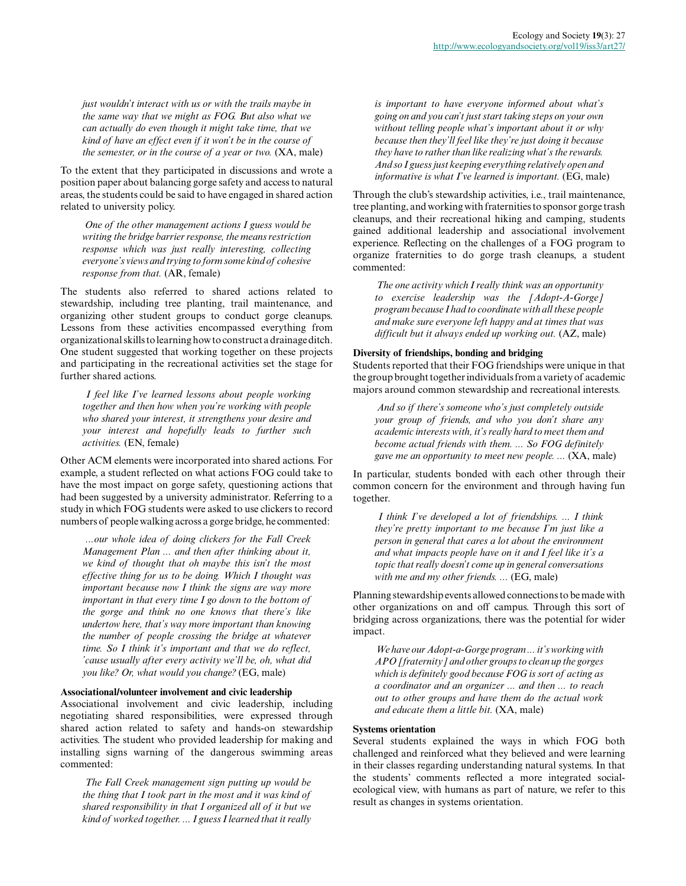To the extent that they participated in discussions and wrote a position paper about balancing gorge safety and access to natural areas, the students could be said to have engaged in shared action related to university policy.

*One of the other management actions I guess would be writing the bridge barrier response, the means restriction response which was just really interesting, collecting everyone's views and trying to form some kind of cohesive response from that.* (AR, female)

The students also referred to shared actions related to stewardship, including tree planting, trail maintenance, and organizing other student groups to conduct gorge cleanups. Lessons from these activities encompassed everything from organizational skills to learning how to construct a drainage ditch. One student suggested that working together on these projects and participating in the recreational activities set the stage for further shared actions.

*I feel like I've learned lessons about people working together and then how when you're working with people who shared your interest, it strengthens your desire and your interest and hopefully leads to further such activities.* (EN, female)

Other ACM elements were incorporated into shared actions. For example, a student reflected on what actions FOG could take to have the most impact on gorge safety, questioning actions that had been suggested by a university administrator. Referring to a study in which FOG students were asked to use clickers to record numbers of people walking across a gorge bridge, he commented:

*...our whole idea of doing clickers for the Fall Creek Management Plan ... and then after thinking about it, we kind of thought that oh maybe this isn't the most effective thing for us to be doing. Which I thought was important because now I think the signs are way more important in that every time I go down to the bottom of the gorge and think no one knows that there's like undertow here, that's way more important than knowing the number of people crossing the bridge at whatever time. So I think it's important and that we do reflect, 'cause usually after every activity we'll be, oh, what did you like? Or, what would you change?* (EG, male)

# **Associational/volunteer involvement and civic leadership**

Associational involvement and civic leadership, including negotiating shared responsibilities, were expressed through shared action related to safety and hands-on stewardship activities. The student who provided leadership for making and installing signs warning of the dangerous swimming areas commented:

*The Fall Creek management sign putting up would be the thing that I took part in the most and it was kind of shared responsibility in that I organized all of it but we kind of worked together. ... I guess I learned that it really*

*is important to have everyone informed about what's going on and you can't just start taking steps on your own without telling people what's important about it or why because then they'll feel like they're just doing it because they have to rather than like realizing what's the rewards. And so I guess just keeping everything relatively open and informative is what I've learned is important.* (EG, male)

Through the club's stewardship activities, i.e., trail maintenance, tree planting, and working with fraternities to sponsor gorge trash cleanups, and their recreational hiking and camping, students gained additional leadership and associational involvement experience. Reflecting on the challenges of a FOG program to organize fraternities to do gorge trash cleanups, a student commented:

*The one activity which I really think was an opportunity to exercise leadership was the [Adopt-A-Gorge] program because I had to coordinate with all these people and make sure everyone left happy and at times that was difficult but it always ended up working out.* (AZ, male)

## **Diversity of friendships, bonding and bridging**

Students reported that their FOG friendships were unique in that the group brought together individuals from a variety of academic majors around common stewardship and recreational interests.

*And so if there's someone who's just completely outside your group of friends, and who you don't share any academic interests with, it's really hard to meet them and become actual friends with them. ... So FOG definitely gave me an opportunity to meet new people. ...* (XA, male)

In particular, students bonded with each other through their common concern for the environment and through having fun together.

*I think I've developed a lot of friendships. ... I think they're pretty important to me because I'm just like a person in general that cares a lot about the environment and what impacts people have on it and I feel like it's a topic that really doesn't come up in general conversations with me and my other friends. ...* (EG, male)

Planning stewardship events allowed connections to be made with other organizations on and off campus. Through this sort of bridging across organizations, there was the potential for wider impact.

*We have our Adopt-a-Gorge program ... it's working with APO [fraternity] and other groups to clean up the gorges which is definitely good because FOG is sort of acting as a coordinator and an organizer ... and then ... to reach out to other groups and have them do the actual work and educate them a little bit.* (XA, male)

#### **Systems orientation**

Several students explained the ways in which FOG both challenged and reinforced what they believed and were learning in their classes regarding understanding natural systems. In that the students' comments reflected a more integrated socialecological view, with humans as part of nature, we refer to this result as changes in systems orientation.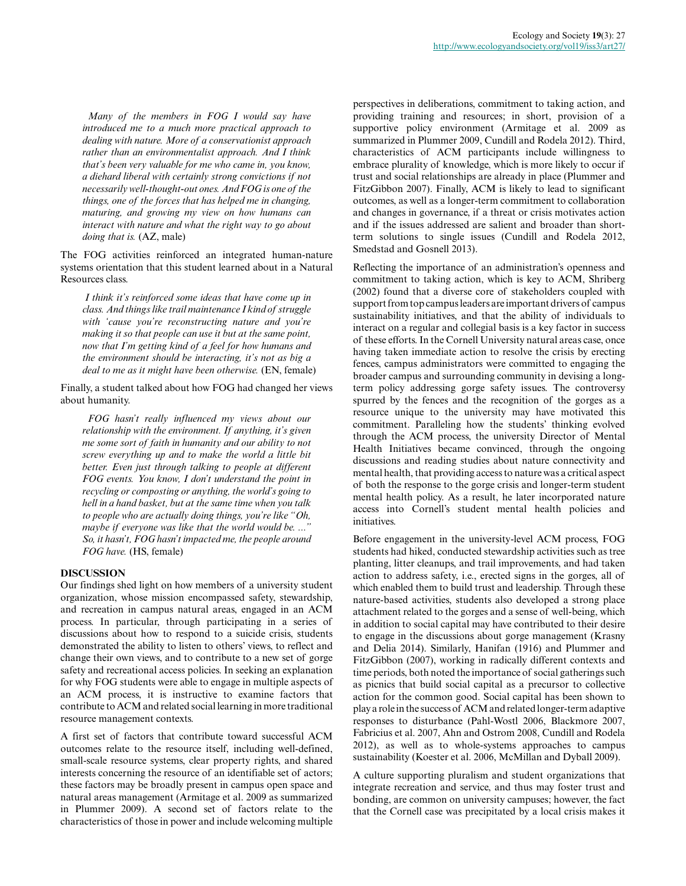*Many of the members in FOG I would say have introduced me to a much more practical approach to dealing with nature. More of a conservationist approach rather than an environmentalist approach. And I think that's been very valuable for me who came in, you know, a diehard liberal with certainly strong convictions if not necessarily well-thought-out ones. And FOG is one of the things, one of the forces that has helped me in changing, maturing, and growing my view on how humans can interact with nature and what the right way to go about doing that is.* (AZ, male)

The FOG activities reinforced an integrated human-nature systems orientation that this student learned about in a Natural Resources class.

*I think it's reinforced some ideas that have come up in class. And things like trail maintenance I kind of struggle with 'cause you're reconstructing nature and you're making it so that people can use it but at the same point, now that I'm getting kind of a feel for how humans and the environment should be interacting, it's not as big a deal to me as it might have been otherwise.* (EN, female)

Finally, a student talked about how FOG had changed her views about humanity.

*FOG hasn't really influenced my views about our relationship with the environment. If anything, it's given me some sort of faith in humanity and our ability to not screw everything up and to make the world a little bit better. Even just through talking to people at different FOG events. You know, I don't understand the point in recycling or composting or anything, the world's going to hell in a hand basket, but at the same time when you talk to people who are actually doing things, you're like "Oh, maybe if everyone was like that the world would be. ..." So, it hasn't, FOG hasn't impacted me, the people around FOG have.* (HS, female)

# **DISCUSSION**

Our findings shed light on how members of a university student organization, whose mission encompassed safety, stewardship, and recreation in campus natural areas, engaged in an ACM process. In particular, through participating in a series of discussions about how to respond to a suicide crisis, students demonstrated the ability to listen to others' views, to reflect and change their own views, and to contribute to a new set of gorge safety and recreational access policies. In seeking an explanation for why FOG students were able to engage in multiple aspects of an ACM process, it is instructive to examine factors that contribute to ACM and related social learning in more traditional resource management contexts.

A first set of factors that contribute toward successful ACM outcomes relate to the resource itself, including well-defined, small-scale resource systems, clear property rights, and shared interests concerning the resource of an identifiable set of actors; these factors may be broadly present in campus open space and natural areas management (Armitage et al. 2009 as summarized in Plummer 2009). A second set of factors relate to the characteristics of those in power and include welcoming multiple perspectives in deliberations, commitment to taking action, and providing training and resources; in short, provision of a supportive policy environment (Armitage et al. 2009 as summarized in Plummer 2009, Cundill and Rodela 2012). Third, characteristics of ACM participants include willingness to embrace plurality of knowledge, which is more likely to occur if trust and social relationships are already in place (Plummer and FitzGibbon 2007). Finally, ACM is likely to lead to significant outcomes, as well as a longer-term commitment to collaboration and changes in governance, if a threat or crisis motivates action and if the issues addressed are salient and broader than shortterm solutions to single issues (Cundill and Rodela 2012, Smedstad and Gosnell 2013).

Reflecting the importance of an administration's openness and commitment to taking action, which is key to ACM, Shriberg (2002) found that a diverse core of stakeholders coupled with support from top campus leaders are important drivers of campus sustainability initiatives, and that the ability of individuals to interact on a regular and collegial basis is a key factor in success of these efforts. In the Cornell University natural areas case, once having taken immediate action to resolve the crisis by erecting fences, campus administrators were committed to engaging the broader campus and surrounding community in devising a longterm policy addressing gorge safety issues. The controversy spurred by the fences and the recognition of the gorges as a resource unique to the university may have motivated this commitment. Paralleling how the students' thinking evolved through the ACM process, the university Director of Mental Health Initiatives became convinced, through the ongoing discussions and reading studies about nature connectivity and mental health, that providing access to nature was a critical aspect of both the response to the gorge crisis and longer-term student mental health policy. As a result, he later incorporated nature access into Cornell's student mental health policies and initiatives.

Before engagement in the university-level ACM process, FOG students had hiked, conducted stewardship activities such as tree planting, litter cleanups, and trail improvements, and had taken action to address safety, i.e., erected signs in the gorges, all of which enabled them to build trust and leadership. Through these nature-based activities, students also developed a strong place attachment related to the gorges and a sense of well-being, which in addition to social capital may have contributed to their desire to engage in the discussions about gorge management (Krasny and Delia 2014). Similarly, Hanifan (1916) and Plummer and FitzGibbon (2007), working in radically different contexts and time periods, both noted the importance of social gatherings such as picnics that build social capital as a precursor to collective action for the common good. Social capital has been shown to play a role in the success of ACM and related longer-term adaptive responses to disturbance (Pahl-Wostl 2006, Blackmore 2007, Fabricius et al. 2007, Ahn and Ostrom 2008, Cundill and Rodela 2012), as well as to whole-systems approaches to campus sustainability (Koester et al. 2006, McMillan and Dyball 2009).

A culture supporting pluralism and student organizations that integrate recreation and service, and thus may foster trust and bonding, are common on university campuses; however, the fact that the Cornell case was precipitated by a local crisis makes it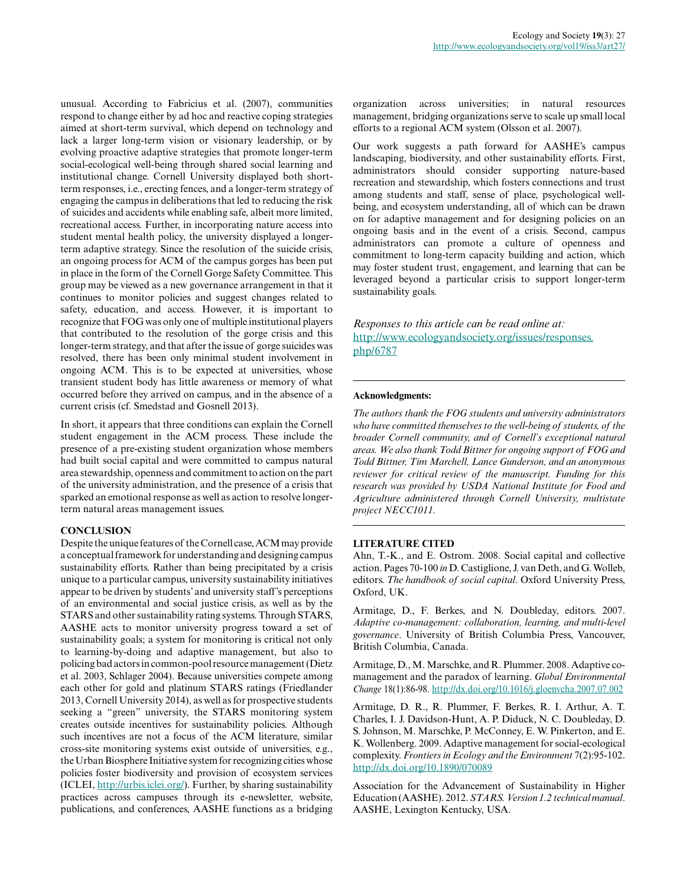unusual. According to Fabricius et al. (2007), communities respond to change either by ad hoc and reactive coping strategies aimed at short-term survival, which depend on technology and lack a larger long-term vision or visionary leadership, or by evolving proactive adaptive strategies that promote longer-term social-ecological well-being through shared social learning and institutional change. Cornell University displayed both shortterm responses, i.e., erecting fences, and a longer-term strategy of engaging the campus in deliberations that led to reducing the risk of suicides and accidents while enabling safe, albeit more limited, recreational access. Further, in incorporating nature access into student mental health policy, the university displayed a longerterm adaptive strategy. Since the resolution of the suicide crisis, an ongoing process for ACM of the campus gorges has been put in place in the form of the Cornell Gorge Safety Committee. This group may be viewed as a new governance arrangement in that it continues to monitor policies and suggest changes related to safety, education, and access. However, it is important to recognize that FOG was only one of multiple institutional players that contributed to the resolution of the gorge crisis and this longer-term strategy, and that after the issue of gorge suicides was resolved, there has been only minimal student involvement in ongoing ACM. This is to be expected at universities, whose transient student body has little awareness or memory of what occurred before they arrived on campus, and in the absence of a current crisis (cf. Smedstad and Gosnell 2013).

In short, it appears that three conditions can explain the Cornell student engagement in the ACM process. These include the presence of a pre-existing student organization whose members had built social capital and were committed to campus natural area stewardship, openness and commitment to action on the part of the university administration, and the presence of a crisis that sparked an emotional response as well as action to resolve longerterm natural areas management issues.

## **CONCLUSION**

Despite the unique features of the Cornell case, ACM may provide a conceptual framework for understanding and designing campus sustainability efforts. Rather than being precipitated by a crisis unique to a particular campus, university sustainability initiatives appear to be driven by students' and university staff's perceptions of an environmental and social justice crisis, as well as by the STARS and other sustainability rating systems. Through STARS, AASHE acts to monitor university progress toward a set of sustainability goals; a system for monitoring is critical not only to learning-by-doing and adaptive management, but also to policing bad actors in common-pool resource management (Dietz et al. 2003, Schlager 2004). Because universities compete among each other for gold and platinum STARS ratings (Friedlander 2013, Cornell University 2014), as well as for prospective students seeking a "green" university, the STARS monitoring system creates outside incentives for sustainability policies. Although such incentives are not a focus of the ACM literature, similar cross-site monitoring systems exist outside of universities, e.g., the Urban Biosphere Initiative system for recognizing cities whose policies foster biodiversity and provision of ecosystem services (ICLEI,<http://urbis.iclei.org/>). Further, by sharing sustainability practices across campuses through its e-newsletter, website, publications, and conferences, AASHE functions as a bridging

organization across universities; in natural resources management, bridging organizations serve to scale up small local efforts to a regional ACM system (Olsson et al. 2007).

Our work suggests a path forward for AASHE's campus landscaping, biodiversity, and other sustainability efforts. First, administrators should consider supporting nature-based recreation and stewardship, which fosters connections and trust among students and staff, sense of place, psychological wellbeing, and ecosystem understanding, all of which can be drawn on for adaptive management and for designing policies on an ongoing basis and in the event of a crisis. Second, campus administrators can promote a culture of openness and commitment to long-term capacity building and action, which may foster student trust, engagement, and learning that can be leveraged beyond a particular crisis to support longer-term sustainability goals.

*Responses to this article can be read online at:* [http://www.ecologyandsociety.org/issues/responses.](http://www.ecologyandsociety.org/issues/responses.php/6787) [php/6787](http://www.ecologyandsociety.org/issues/responses.php/6787)

# **Acknowledgments:**

*The authors thank the FOG students and university administrators who have committed themselves to the well-being of students, of the broader Cornell community, and of Cornell's exceptional natural areas. We also thank Todd Bittner for ongoing support of FOG and Todd Bittner, Tim Marchell, Lance Gunderson, and an anonymous reviewer for critical review of the manuscript. Funding for this research was provided by USDA National Institute for Food and Agriculture administered through Cornell University, multistate project NECC1011.*

## **LITERATURE CITED**

Ahn, T.-K., and E. Ostrom. 2008. Social capital and collective action. Pages 70-100 *in* D. Castiglione, J. van Deth, and G. Wolleb, editors. *The handbook of social capital*. Oxford University Press, Oxford, UK.

Armitage, D., F. Berkes, and N. Doubleday, editors. 2007. *Adaptive co-management: collaboration, learning, and multi-level governance*. University of British Columbia Press, Vancouver, British Columbia, Canada.

Armitage, D., M. Marschke, and R. Plummer. 2008. Adaptive comanagement and the paradox of learning. *Global Environmental Change* 18(1):86-98. [http://dx.doi.org/10.1016/j.gloenvcha.2007.07.002](http://dx.doi.org/10.1016%2Fj.gloenvcha.2007.07.002)

Armitage, D. R., R. Plummer, F. Berkes, R. I. Arthur, A. T. Charles, I. J. Davidson-Hunt, A. P. Diduck, N. C. Doubleday, D. S. Johnson, M. Marschke, P. McConney, E. W. Pinkerton, and E. K. Wollenberg. 2009. Adaptive management for social-ecological complexity. *Frontiers in Ecology and the Environment* 7(2):95-102. [http://dx.doi.org/10.1890/070089](http://dx.doi.org/10.1890%2F070089)

Association for the Advancement of Sustainability in Higher Education (AASHE). 2012. *STARS. Version 1.2 technical manual*. AASHE, Lexington Kentucky, USA.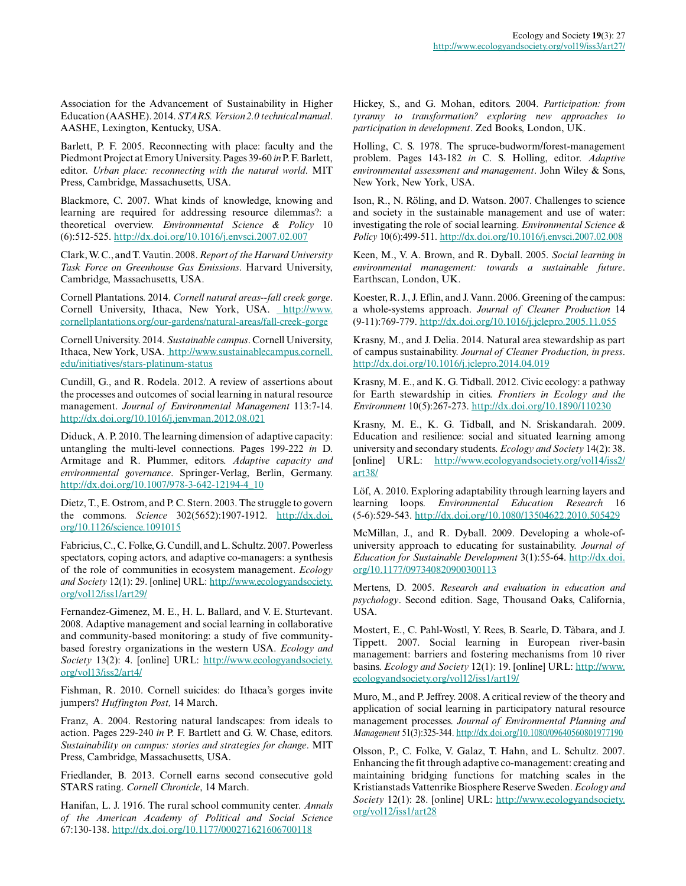Association for the Advancement of Sustainability in Higher Education (AASHE). 2014. *STARS. Version 2.0 technical manual*. AASHE, Lexington, Kentucky, USA.

Barlett, P. F. 2005. Reconnecting with place: faculty and the Piedmont Project at Emory University. Pages 39-60 *in* P. F. Barlett, editor. *Urban place: reconnecting with the natural world*. MIT Press, Cambridge, Massachusetts, USA.

Blackmore, C. 2007. What kinds of knowledge, knowing and learning are required for addressing resource dilemmas?: a theoretical overview. *Environmental Science & Policy* 10 (6):512-525. [http://dx.doi.org/10.1016/j.envsci.2007.02.007](http://dx.doi.org/10.1016%2Fj.envsci.2007.02.007)

Clark, W. C., and T. Vautin. 2008. *Report of the Harvard University Task Force on Greenhouse Gas Emissions*. Harvard University, Cambridge, Massachusetts, USA.

Cornell Plantations. 2014. *Cornell natural areas--fall creek gorge*. Cornell University, Ithaca, New York, USA. [http://www.](http://www.cornellplantations.org/our-gardens/natural-areas/fall-creek-gorge) [cornellplantations.org/our-gardens/natural-areas/fall-creek-gorge](http://www.cornellplantations.org/our-gardens/natural-areas/fall-creek-gorge) 

Cornell University. 2014. *Sustainable campus*. Cornell University, Ithaca, New York, USA. [http://www.sustainablecampus.cornell.](http://www.sustainablecampus.cornell.edu/initiatives/stars-platinum-status) [edu/initiatives/stars-platinum-status](http://www.sustainablecampus.cornell.edu/initiatives/stars-platinum-status)

Cundill, G., and R. Rodela. 2012. A review of assertions about the processes and outcomes of social learning in natural resource management. *Journal of Environmental Management* 113:7-14. [http://dx.doi.org/10.1016/j.jenvman.2012.08.021](http://dx.doi.org/10.1016%2Fj.jenvman.2012.08.021)

Diduck, A. P. 2010. The learning dimension of adaptive capacity: untangling the multi-level connections. Pages 199-222 *in* D. Armitage and R. Plummer, editors. *Adaptive capacity and environmental governance*. Springer-Verlag, Berlin, Germany. [http://dx.doi.org/10.1007/978-3-642-12194-4\\_10](http://dx.doi.org/10.1007%2F978-3-642-12194-4_10)

Dietz, T., E. Ostrom, and P. C. Stern. 2003. The struggle to govern the commons. *Science* 302(5652):1907-1912. [http://dx.doi.](http://dx.doi.org/10.1126%2Fscience.1091015) [org/10.1126/science.1091015](http://dx.doi.org/10.1126%2Fscience.1091015)

Fabricius, C., C. Folke, G. Cundill, and L. Schultz. 2007. Powerless spectators, coping actors, and adaptive co-managers: a synthesis of the role of communities in ecosystem management. *Ecology and Society* 12(1): 29. [online] URL: [http://www.ecologyandsociety.](http://www.ecologyandsociety.org/vol12/iss1/art29/) [org/vol12/iss1/art29/](http://www.ecologyandsociety.org/vol12/iss1/art29/)

Fernandez-Gimenez, M. E., H. L. Ballard, and V. E. Sturtevant. 2008. Adaptive management and social learning in collaborative and community-based monitoring: a study of five communitybased forestry organizations in the western USA. *Ecology and Society* 13(2): 4. [online] URL: [http://www.ecologyandsociety.](http://www.ecologyandsociety.org/vol13/iss2/art4/) [org/vol13/iss2/art4/](http://www.ecologyandsociety.org/vol13/iss2/art4/)

Fishman, R. 2010. Cornell suicides: do Ithaca's gorges invite jumpers? *Huffington Post,* 14 March.

Franz, A. 2004. Restoring natural landscapes: from ideals to action. Pages 229-240 *in* P. F. Bartlett and G. W. Chase, editors. *Sustainability on campus: stories and strategies for change*. MIT Press, Cambridge, Massachusetts, USA.

Friedlander, B. 2013. Cornell earns second consecutive gold STARS rating. *Cornell Chronicle*, 14 March.

Hanifan, L. J. 1916. The rural school community center. *Annals of the American Academy of Political and Social Science* 67:130-138. [http://dx.doi.org/10.1177/000271621606700118](http://dx.doi.org/10.1177%2F000271621606700118)

Hickey, S., and G. Mohan, editors. 2004. *Participation: from tyranny to transformation? exploring new approaches to participation in development*. Zed Books, London, UK.

Holling, C. S. 1978. The spruce-budworm/forest-management problem. Pages 143-182 *in* C. S. Holling, editor. *Adaptive environmental assessment and management*. John Wiley & Sons, New York, New York, USA.

Ison, R., N. Röling, and D. Watson. 2007. Challenges to science and society in the sustainable management and use of water: investigating the role of social learning. *Environmental Science & Policy* 10(6):499-511. [http://dx.doi.org/10.1016/j.envsci.2007.02.008](http://dx.doi.org/10.1016%2Fj.envsci.2007.02.008)

Keen, M., V. A. Brown, and R. Dyball. 2005. *Social learning in environmental management: towards a sustainable future*. Earthscan, London, UK.

Koester, R. J., J. Eflin, and J. Vann. 2006. Greening of the campus: a whole-systems approach. *Journal of Cleaner Production* 14 (9-11):769-779. [http://dx.doi.org/10.1016/j.jclepro.2005.11.055](http://dx.doi.org/10.1016%2Fj.jclepro.2005.11.055)

Krasny, M., and J. Delia. 2014. Natural area stewardship as part of campus sustainability. *Journal of Cleaner Production, in press*. [http://dx.doi.org/10.1016/j.jclepro.2014.04.019](http://dx.doi.org/10.1016%2Fj.jclepro.2014.04.019)

Krasny, M. E., and K. G. Tidball. 2012. Civic ecology: a pathway for Earth stewardship in cities. *Frontiers in Ecology and the Environment* 10(5):267-273. [http://dx.doi.org/10.1890/110230](http://dx.doi.org/10.1890%2F110230)

Krasny, M. E., K. G. Tidball, and N. Sriskandarah. 2009. Education and resilience: social and situated learning among university and secondary students. *Ecology and Society* 14(2): 38. [online] URL: [http://www.ecologyandsociety.org/vol14/iss2/](http://www.ecologyandsociety.org/vol14/iss2/art38/) [art38/](http://www.ecologyandsociety.org/vol14/iss2/art38/)

Löf, A. 2010. Exploring adaptability through learning layers and learning loops. *Environmental Education Research* 16 (5-6):529-543. [http://dx.doi.org/10.1080/13504622.2010.505429](http://dx.doi.org/10.1080%2F13504622.2010.505429)

McMillan, J., and R. Dyball. 2009. Developing a whole-ofuniversity approach to educating for sustainability. *Journal of Education for Sustainable Development* 3(1):55-64. [http://dx.doi.](http://dx.doi.org/10.1177%2F097340820900300113) [org/10.1177/097340820900300113](http://dx.doi.org/10.1177%2F097340820900300113)

Mertens, D. 2005. *Research and evaluation in education and psychology*. Second edition. Sage, Thousand Oaks, California, USA.

Mostert, E., C. Pahl-Wostl, Y. Rees, B. Searle, D. Tàbara, and J. Tippett. 2007. Social learning in European river-basin management: barriers and fostering mechanisms from 10 river basins. *Ecology and Society* 12(1): 19. [online] URL: [http://www.](http://www.ecologyandsociety.org/vol12/iss1/art19/) [ecologyandsociety.org/vol12/iss1/art19/](http://www.ecologyandsociety.org/vol12/iss1/art19/)

Muro, M., and P. Jeffrey. 2008. A critical review of the theory and application of social learning in participatory natural resource management processes. *Journal of Environmental Planning and Management* 51(3):325-344. [http://dx.doi.org/10.1080/09640560801977190](http://dx.doi.org/10.1080%2F09640560801977190)

Olsson, P., C. Folke, V. Galaz, T. Hahn, and L. Schultz. 2007. Enhancing the fit through adaptive co-management: creating and maintaining bridging functions for matching scales in the Kristianstads Vattenrike Biosphere Reserve Sweden. *Ecology and Society* 12(1): 28. [online] URL: [http://www.ecologyandsociety.](http://www.ecologyandsociety.org/vol12/iss1/art28) [org/vol12/iss1/art28](http://www.ecologyandsociety.org/vol12/iss1/art28)